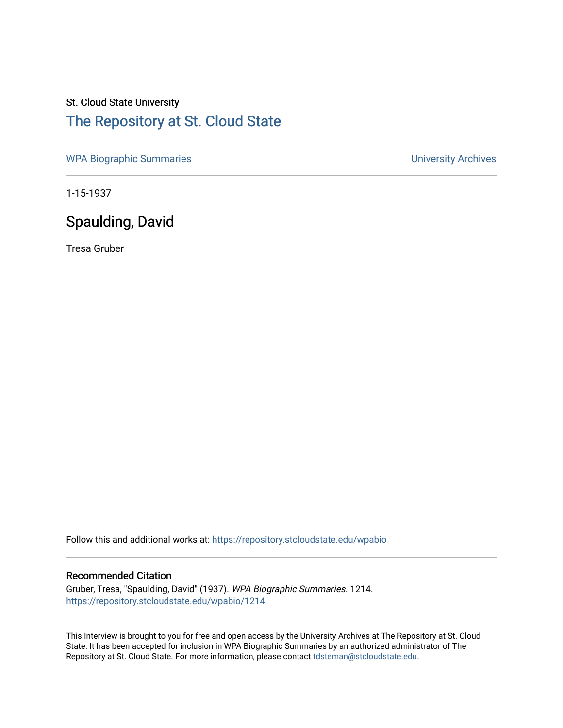# St. Cloud State University [The Repository at St. Cloud State](https://repository.stcloudstate.edu/)

[WPA Biographic Summaries](https://repository.stcloudstate.edu/wpabio) **WPA Biographic Summaries University Archives** 

1-15-1937

# Spaulding, David

Tresa Gruber

Follow this and additional works at: [https://repository.stcloudstate.edu/wpabio](https://repository.stcloudstate.edu/wpabio?utm_source=repository.stcloudstate.edu%2Fwpabio%2F1214&utm_medium=PDF&utm_campaign=PDFCoverPages) 

### Recommended Citation

Gruber, Tresa, "Spaulding, David" (1937). WPA Biographic Summaries. 1214. [https://repository.stcloudstate.edu/wpabio/1214](https://repository.stcloudstate.edu/wpabio/1214?utm_source=repository.stcloudstate.edu%2Fwpabio%2F1214&utm_medium=PDF&utm_campaign=PDFCoverPages) 

This Interview is brought to you for free and open access by the University Archives at The Repository at St. Cloud State. It has been accepted for inclusion in WPA Biographic Summaries by an authorized administrator of The Repository at St. Cloud State. For more information, please contact [tdsteman@stcloudstate.edu.](mailto:tdsteman@stcloudstate.edu)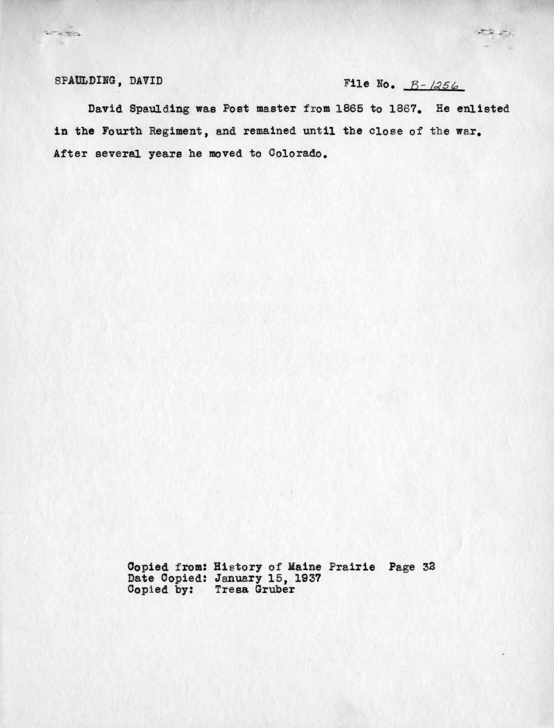Vita

# SPAULDING, DAVID File No.  $B - 1256$

 $\overline{1}$ 

David Spaulding was Post master from 1865 to 1867. He enlisted in the Fourth Regiment, and remained until the close of the war. After several years he moved to Colorado.

> Oopied from: History of Kaine Prairie Page 33 Date Copied: January 15, 1937 Copied by: Tresa Gruber